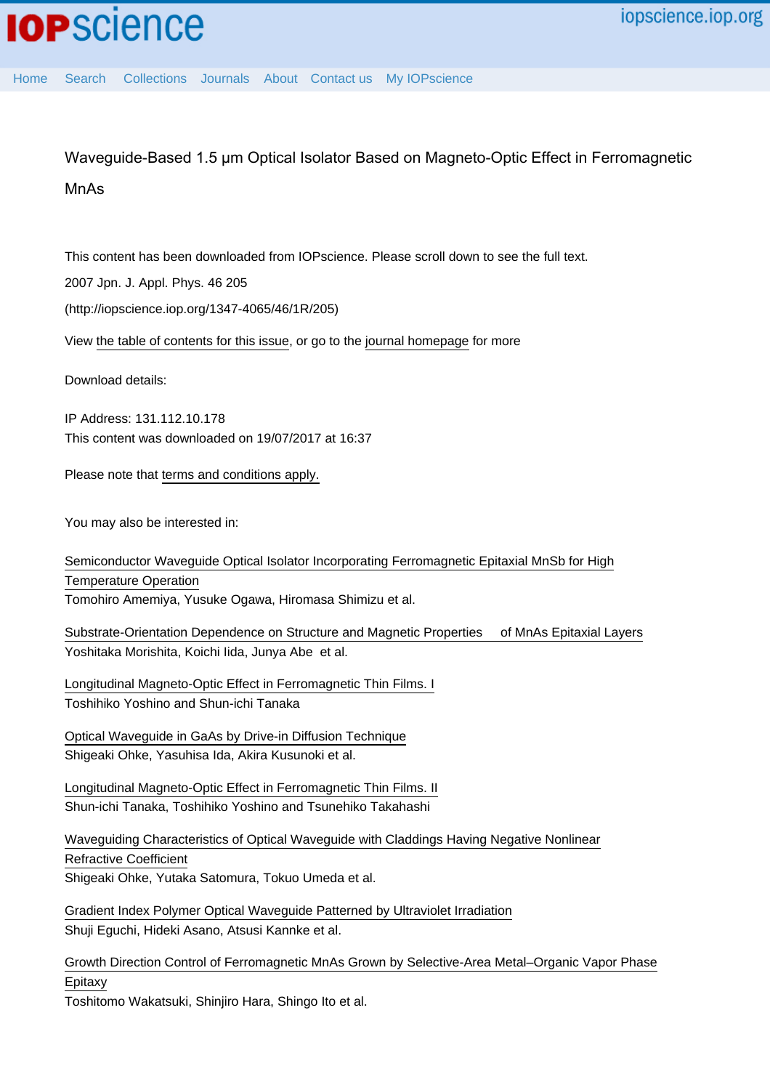# Waveguide-Based 1.5 µm Optical Isolator Based on Magneto-Optic Effect in Ferromagnetic MnAs

This content has been downloaded from IOPscience. Please scroll down to see the full text.

2007 Jpn. J. Appl. Phys. 46 205

(http://iopscience.iop.org/1347-4065/46/1R/205)

View [the table of contents for this issue](http://iopscience.iop.org/1347-4065/46/1R), or go to the [journal homepage](http://iopscience.iop.org/1347-4065) for more

Download details:

IP Address: 131.112.10.178 This content was downloaded on 19/07/2017 at 16:37

Please note that [terms and conditions apply.](http://iopscience.iop.org/page/terms)

You may also be interested in:

[Semiconductor Waveguide Optical Isolator Incorporating Ferromagnetic Epitaxial MnSb for High](http://iopscience.iop.org/article/10.1143/APEX.1.022002) [Temperature Operation](http://iopscience.iop.org/article/10.1143/APEX.1.022002) Tomohiro Amemiya, Yusuke Ogawa, Hiromasa Shimizu et al.

[Substrate-Orientation Dependence on Structure and Magnetic Properties of MnAs Epitaxial Layers](http://iopscience.iop.org/article/10.1143/JJAP.36.L1100) Yoshitaka Morishita, Koichi Iida, Junya Abe et al.

[Longitudinal Magneto-Optic Effect in Ferromagnetic Thin Films. I](http://iopscience.iop.org/article/10.1143/JJAP.5.989) Toshihiko Yoshino and Shun-ichi Tanaka

[Optical Waveguide in GaAs by Drive-in Diffusion Technique](http://iopscience.iop.org/article/10.1143/JJAP.22.L106) Shigeaki Ohke, Yasuhisa Ida, Akira Kusunoki et al.

[Longitudinal Magneto-Optic Effect in Ferromagnetic Thin Films. II](http://iopscience.iop.org/article/10.1143/JJAP.5.994) Shun-ichi Tanaka, Toshihiko Yoshino and Tsunehiko Takahashi

[Waveguiding Characteristics of Optical Waveguide with Claddings Having Negative Nonlinear](http://iopscience.iop.org/article/10.1143/JJAP.33.3478) [Refractive Coefficient](http://iopscience.iop.org/article/10.1143/JJAP.33.3478) Shigeaki Ohke, Yutaka Satomura, Tokuo Umeda et al.

[Gradient Index Polymer Optical Waveguide Patterned by Ultraviolet Irradiation](http://iopscience.iop.org/article/10.1143/JJAP.28.L2232) Shuji Eguchi, Hideki Asano, Atsusi Kannke et al.

[Growth Direction Control of Ferromagnetic MnAs Grown by Selective-Area Metal–Organic Vapor Phase](http://iopscience.iop.org/article/10.1143/JJAP.48.04C137) [Epitaxy](http://iopscience.iop.org/article/10.1143/JJAP.48.04C137)

Toshitomo Wakatsuki, Shinjiro Hara, Shingo Ito et al.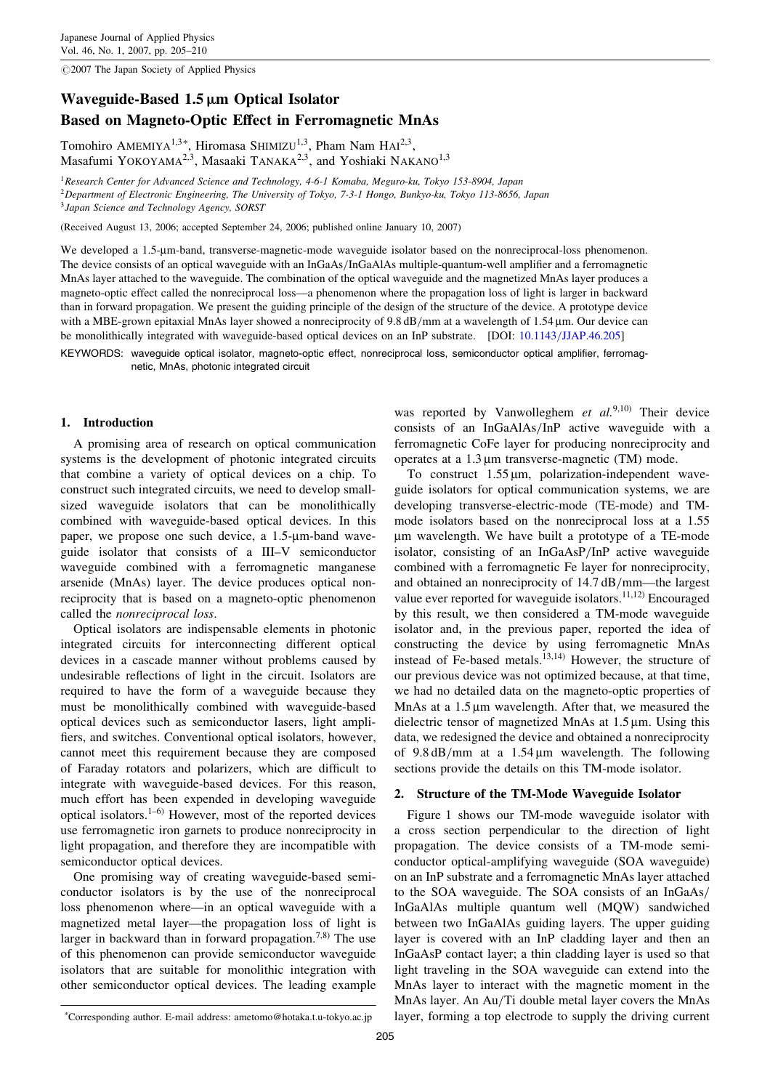$@2007$  The Japan Society of Applied Physics

# Waveguide-Based  $1.5 \mu m$  Optical Isolator Based on Magneto-Optic Effect in Ferromagnetic MnAs

Tomohiro AMEMIYA<sup>1,3\*</sup>, Hiromasa SHIMIZU<sup>1,3</sup>, Pham Nam HAI<sup>2,3</sup>, Masafumi YOKOYAMA<sup>2,3</sup>, Masaaki TANAKA<sup>2,3</sup>, and Yoshiaki NAKANO<sup>1,3</sup>

<sup>1</sup>Research Center for Advanced Science and Technology, 4-6-1 Komaba, Meguro-ku, Tokyo 153-8904, Japan <sup>2</sup>Department of Electronic Engineering, The University of Tokyo, 7-3-1 Hongo, Bunkyo-ku, Tokyo 113-8656, Japan <sup>3</sup> Japan Science and Technology Agency, SORST

(Received August 13, 2006; accepted September 24, 2006; published online January 10, 2007)

We developed a 1.5-µm-band, transverse-magnetic-mode waveguide isolator based on the nonreciprocal-loss phenomenon. The device consists of an optical waveguide with an InGaAs/InGaAlAs multiple-quantum-well amplifier and a ferromagnetic MnAs layer attached to the waveguide. The combination of the optical waveguide and the magnetized MnAs layer produces a magneto-optic effect called the nonreciprocal loss—a phenomenon where the propagation loss of light is larger in backward than in forward propagation. We present the guiding principle of the design of the structure of the device. A prototype device with a MBE-grown epitaxial MnAs layer showed a nonreciprocity of 9.8 dB/mm at a wavelength of 1.54  $\mu$ m. Our device can be monolithically integrated with waveguide-based optical devices on an InP substrate. [DOI: [10.1143/JJAP.46.205\]](http://dx.doi.org/10.1143/JJAP.46.205)

KEYWORDS: waveguide optical isolator, magneto-optic effect, nonreciprocal loss, semiconductor optical amplifier, ferromagnetic, MnAs, photonic integrated circuit

## 1. Introduction

A promising area of research on optical communication systems is the development of photonic integrated circuits that combine a variety of optical devices on a chip. To construct such integrated circuits, we need to develop smallsized waveguide isolators that can be monolithically combined with waveguide-based optical devices. In this paper, we propose one such device, a 1.5-µm-band waveguide isolator that consists of a III–V semiconductor waveguide combined with a ferromagnetic manganese arsenide (MnAs) layer. The device produces optical nonreciprocity that is based on a magneto-optic phenomenon called the nonreciprocal loss.

Optical isolators are indispensable elements in photonic integrated circuits for interconnecting different optical devices in a cascade manner without problems caused by undesirable reflections of light in the circuit. Isolators are required to have the form of a waveguide because they must be monolithically combined with waveguide-based optical devices such as semiconductor lasers, light amplifiers, and switches. Conventional optical isolators, however, cannot meet this requirement because they are composed of Faraday rotators and polarizers, which are difficult to integrate with waveguide-based devices. For this reason, much effort has been expended in developing waveguide optical isolators.1–6) However, most of the reported devices use ferromagnetic iron garnets to produce nonreciprocity in light propagation, and therefore they are incompatible with semiconductor optical devices.

One promising way of creating waveguide-based semiconductor isolators is by the use of the nonreciprocal loss phenomenon where—in an optical waveguide with a magnetized metal layer—the propagation loss of light is larger in backward than in forward propagation.<sup>7,8)</sup> The use of this phenomenon can provide semiconductor waveguide isolators that are suitable for monolithic integration with other semiconductor optical devices. The leading example

was reported by Vanwolleghem et  $al^{(9,10)}$  Their device consists of an InGaAlAs/InP active waveguide with a ferromagnetic CoFe layer for producing nonreciprocity and operates at a  $1.3 \mu m$  transverse-magnetic (TM) mode.

To construct  $1.55 \,\text{\mu m}$ , polarization-independent waveguide isolators for optical communication systems, we are developing transverse-electric-mode (TE-mode) and TMmode isolators based on the nonreciprocal loss at a 1.55 mm wavelength. We have built a prototype of a TE-mode isolator, consisting of an InGaAsP/InP active waveguide combined with a ferromagnetic Fe layer for nonreciprocity, and obtained an nonreciprocity of 14.7 dB/mm—the largest value ever reported for waveguide isolators.<sup>11,12)</sup> Encouraged by this result, we then considered a TM-mode waveguide isolator and, in the previous paper, reported the idea of constructing the device by using ferromagnetic MnAs instead of Fe-based metals.<sup>13,14)</sup> However, the structure of our previous device was not optimized because, at that time, we had no detailed data on the magneto-optic properties of MnAs at a  $1.5 \mu m$  wavelength. After that, we measured the dielectric tensor of magnetized MnAs at  $1.5 \mu m$ . Using this data, we redesigned the device and obtained a nonreciprocity of  $9.8 \text{ dB/mm}$  at a 1.54 µm wavelength. The following sections provide the details on this TM-mode isolator.

#### 2. Structure of the TM-Mode Waveguide Isolator

Figure 1 shows our TM-mode waveguide isolator with a cross section perpendicular to the direction of light propagation. The device consists of a TM-mode semiconductor optical-amplifying waveguide (SOA waveguide) on an InP substrate and a ferromagnetic MnAs layer attached to the SOA waveguide. The SOA consists of an InGaAs/ InGaAlAs multiple quantum well (MQW) sandwiched between two InGaAlAs guiding layers. The upper guiding layer is covered with an InP cladding layer and then an InGaAsP contact layer; a thin cladding layer is used so that light traveling in the SOA waveguide can extend into the MnAs layer to interact with the magnetic moment in the MnAs layer. An Au/Ti double metal layer covers the MnAs layer, forming a top electrode to supply the driving current

Corresponding author. E-mail address: ametomo@hotaka.t.u-tokyo.ac.jp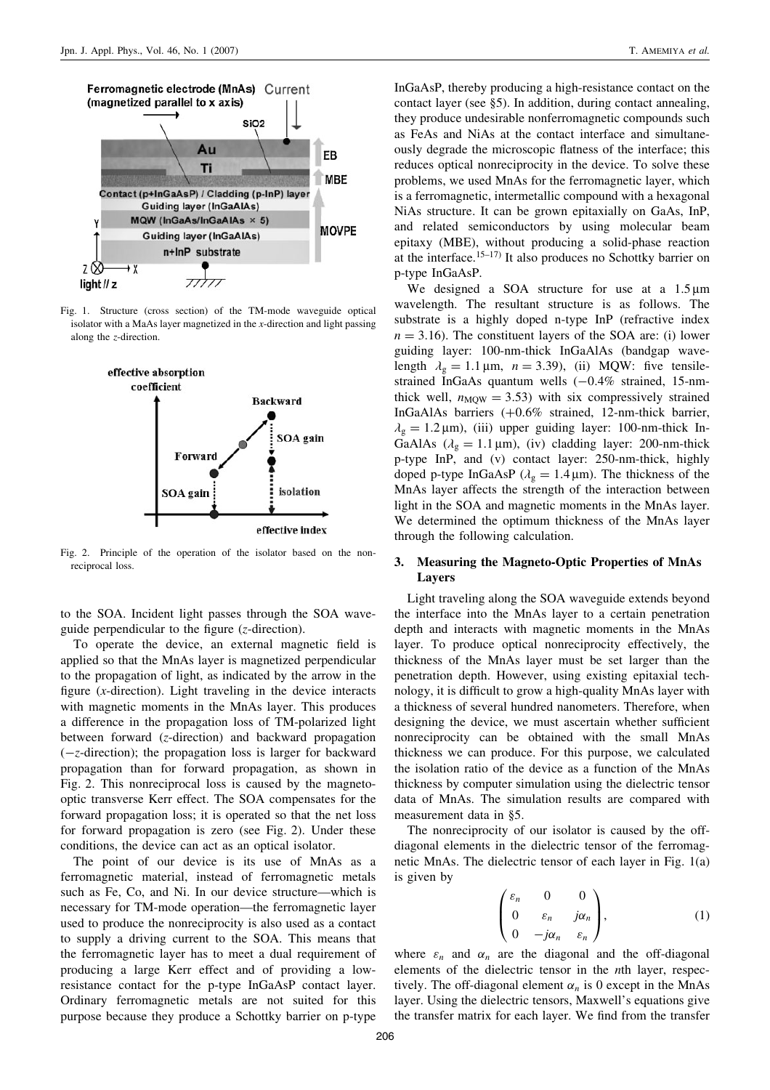

Fig. 1. Structure (cross section) of the TM-mode waveguide optical isolator with a MaAs layer magnetized in the  $x$ -direction and light passing along the z-direction.



Fig. 2. Principle of the operation of the isolator based on the nonreciprocal loss.

to the SOA. Incident light passes through the SOA waveguide perpendicular to the figure (z-direction).

To operate the device, an external magnetic field is applied so that the MnAs layer is magnetized perpendicular to the propagation of light, as indicated by the arrow in the figure  $(x$ -direction). Light traveling in the device interacts with magnetic moments in the MnAs layer. This produces a difference in the propagation loss of TM-polarized light between forward (z-direction) and backward propagation (-z-direction); the propagation loss is larger for backward propagation than for forward propagation, as shown in Fig. 2. This nonreciprocal loss is caused by the magnetooptic transverse Kerr effect. The SOA compensates for the forward propagation loss; it is operated so that the net loss for forward propagation is zero (see Fig. 2). Under these conditions, the device can act as an optical isolator.

The point of our device is its use of MnAs as a ferromagnetic material, instead of ferromagnetic metals such as Fe, Co, and Ni. In our device structure—which is necessary for TM-mode operation—the ferromagnetic layer used to produce the nonreciprocity is also used as a contact to supply a driving current to the SOA. This means that the ferromagnetic layer has to meet a dual requirement of producing a large Kerr effect and of providing a lowresistance contact for the p-type InGaAsP contact layer. Ordinary ferromagnetic metals are not suited for this purpose because they produce a Schottky barrier on p-type

InGaAsP, thereby producing a high-resistance contact on the contact layer (see §5). In addition, during contact annealing, they produce undesirable nonferromagnetic compounds such as FeAs and NiAs at the contact interface and simultaneously degrade the microscopic flatness of the interface; this reduces optical nonreciprocity in the device. To solve these problems, we used MnAs for the ferromagnetic layer, which is a ferromagnetic, intermetallic compound with a hexagonal NiAs structure. It can be grown epitaxially on GaAs, InP, and related semiconductors by using molecular beam epitaxy (MBE), without producing a solid-phase reaction at the interface.<sup>15-17)</sup> It also produces no Schottky barrier on p-type InGaAsP.

We designed a SOA structure for use at a  $1.5 \mu m$ wavelength. The resultant structure is as follows. The substrate is a highly doped n-type InP (refractive index  $n = 3.16$ ). The constituent layers of the SOA are: (i) lower guiding layer: 100-nm-thick InGaAlAs (bandgap wavelength  $\lambda_{\rm g} = 1.1 \,\mu{\rm m}$ ,  $n = 3.39$ ), (ii) MQW: five tensilestrained InGaAs quantum wells  $(-0.4\%$  strained, 15-nmthick well,  $n_{\text{MOW}} = 3.53$ ) with six compressively strained InGaAlAs barriers (+0.6% strained, 12-nm-thick barrier,  $\lambda_{\rm g} = 1.2 \,\mu$ m), (iii) upper guiding layer: 100-nm-thick In-GaAlAs ( $\lambda$ <sub>g</sub> = 1.1 µm), (iv) cladding layer: 200-nm-thick p-type InP, and (v) contact layer: 250-nm-thick, highly doped p-type InGaAsP ( $\lambda_g = 1.4 \,\mu$ m). The thickness of the MnAs layer affects the strength of the interaction between light in the SOA and magnetic moments in the MnAs layer. We determined the optimum thickness of the MnAs layer through the following calculation.

## 3. Measuring the Magneto-Optic Properties of MnAs Layers

Light traveling along the SOA waveguide extends beyond the interface into the MnAs layer to a certain penetration depth and interacts with magnetic moments in the MnAs layer. To produce optical nonreciprocity effectively, the thickness of the MnAs layer must be set larger than the penetration depth. However, using existing epitaxial technology, it is difficult to grow a high-quality MnAs layer with a thickness of several hundred nanometers. Therefore, when designing the device, we must ascertain whether sufficient nonreciprocity can be obtained with the small MnAs thickness we can produce. For this purpose, we calculated the isolation ratio of the device as a function of the MnAs thickness by computer simulation using the dielectric tensor data of MnAs. The simulation results are compared with measurement data in §5.

The nonreciprocity of our isolator is caused by the offdiagonal elements in the dielectric tensor of the ferromagnetic MnAs. The dielectric tensor of each layer in Fig. 1(a) is given by

$$
\begin{pmatrix} \varepsilon_n & 0 & 0 \\ 0 & \varepsilon_n & j\alpha_n \\ 0 & -j\alpha_n & \varepsilon_n \end{pmatrix}, \qquad (1)
$$

where  $\varepsilon_n$  and  $\alpha_n$  are the diagonal and the off-diagonal elements of the dielectric tensor in the nth layer, respectively. The off-diagonal element  $\alpha_n$  is 0 except in the MnAs layer. Using the dielectric tensors, Maxwell's equations give the transfer matrix for each layer. We find from the transfer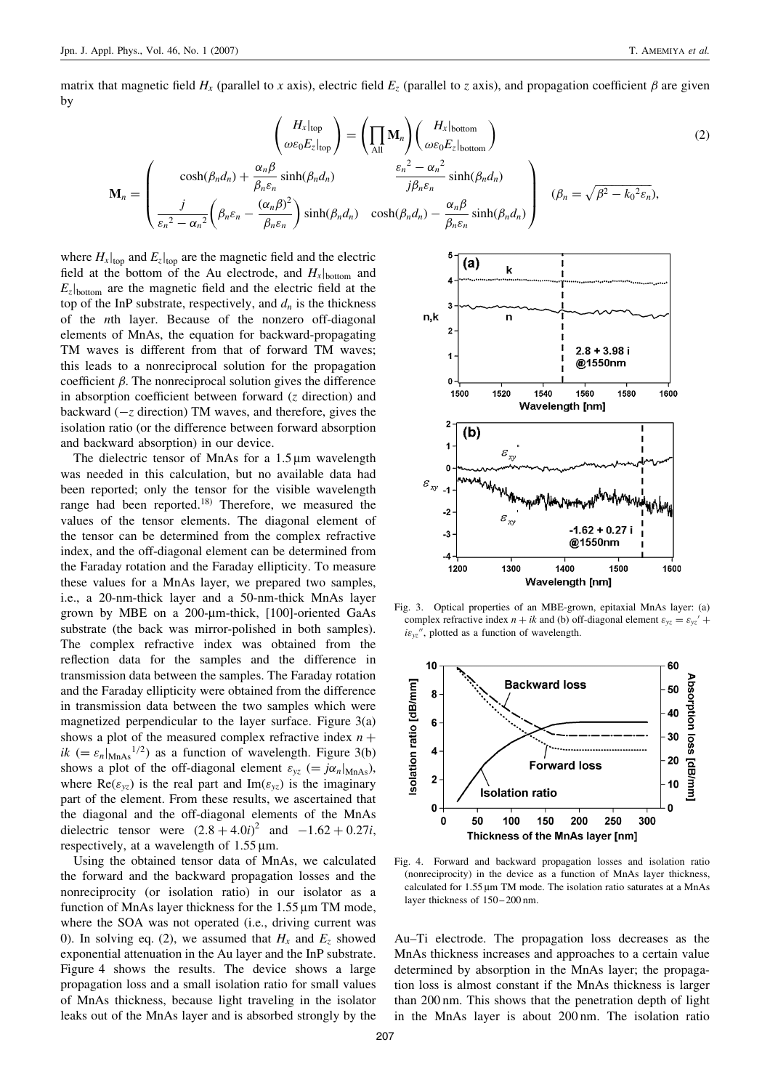matrix that magnetic field  $H_x$  (parallel to x axis), electric field  $E_z$  (parallel to z axis), and propagation coefficient  $\beta$  are given by

$$
\mathbf{M}_{n} = \begin{pmatrix} H_{x}|_{\text{top}} \\ \omega\varepsilon_{0}E_{z}|_{\text{top}} \end{pmatrix} = \left(\prod_{\text{All}} \mathbf{M}_{n}\right) \left(\frac{H_{x}|_{\text{bottom}}}{\omega\varepsilon_{0}E_{z}|_{\text{bottom}}}\right)
$$
\n
$$
\mathbf{M}_{n} = \begin{pmatrix} \cosh(\beta_{n}d_{n}) + \frac{\alpha_{n}\beta}{\beta_{n}\varepsilon_{n}}\sinh(\beta_{n}d_{n}) & \frac{\varepsilon_{n}^{2} - \alpha_{n}^{2}}{j\beta_{n}\varepsilon_{n}}\sinh(\beta_{n}d_{n}) \\ \frac{j}{\varepsilon_{n}^{2} - \alpha_{n}^{2}}\left(\beta_{n}\varepsilon_{n} - \frac{(\alpha_{n}\beta)^{2}}{\beta_{n}\varepsilon_{n}}\right)\sinh(\beta_{n}d_{n}) & \cosh(\beta_{n}d_{n}) - \frac{\alpha_{n}\beta}{\beta_{n}\varepsilon_{n}}\sinh(\beta_{n}d_{n}) \end{pmatrix} \quad (\beta_{n} = \sqrt{\beta^{2} - k_{0}^{2}\varepsilon_{n}}),
$$
\n(2)

where  $H_x|_{top}$  and  $E_z|_{top}$  are the magnetic field and the electric field at the bottom of the Au electrode, and  $H_x$ <sub>bottom</sub> and  $E_z$ b<sub>ottom</sub> are the magnetic field and the electric field at the top of the InP substrate, respectively, and  $d_n$  is the thickness of the nth layer. Because of the nonzero off-diagonal elements of MnAs, the equation for backward-propagating TM waves is different from that of forward TM waves; this leads to a nonreciprocal solution for the propagation coefficient  $\beta$ . The nonreciprocal solution gives the difference in absorption coefficient between forward  $(z$  direction) and backward  $(-z$  direction) TM waves, and therefore, gives the isolation ratio (or the difference between forward absorption and backward absorption) in our device.

The dielectric tensor of MnAs for a  $1.5 \,\text{\ensuremath{\mu}m}$  wavelength was needed in this calculation, but no available data had been reported; only the tensor for the visible wavelength range had been reported.18) Therefore, we measured the values of the tensor elements. The diagonal element of the tensor can be determined from the complex refractive index, and the off-diagonal element can be determined from the Faraday rotation and the Faraday ellipticity. To measure these values for a MnAs layer, we prepared two samples, i.e., a 20-nm-thick layer and a 50-nm-thick MnAs layer grown by MBE on a 200-µm-thick, [100]-oriented GaAs substrate (the back was mirror-polished in both samples). The complex refractive index was obtained from the reflection data for the samples and the difference in transmission data between the samples. The Faraday rotation and the Faraday ellipticity were obtained from the difference in transmission data between the two samples which were magnetized perpendicular to the layer surface. Figure 3(a) shows a plot of the measured complex refractive index  $n +$ ik (=  $\varepsilon_n|_{\text{MnAs}}^{1/2}$ ) as a function of wavelength. Figure 3(b) shows a plot of the off-diagonal element  $\varepsilon_{yz}$  (=  $j\alpha_n|_{MnAs}$ ), where  $\text{Re}(\varepsilon_{yz})$  is the real part and  $\text{Im}(\varepsilon_{yz})$  is the imaginary part of the element. From these results, we ascertained that the diagonal and the off-diagonal elements of the MnAs dielectric tensor were  $(2.8 + 4.0i)^2$  and  $-1.62 + 0.27i$ , respectively, at a wavelength of  $1.55 \,\text{\mu m}$ .

Using the obtained tensor data of MnAs, we calculated the forward and the backward propagation losses and the nonreciprocity (or isolation ratio) in our isolator as a function of MnAs layer thickness for the  $1.55 \mu m$  TM mode, where the SOA was not operated (i.e., driving current was 0). In solving eq. (2), we assumed that  $H_x$  and  $E_z$  showed exponential attenuation in the Au layer and the InP substrate. Figure 4 shows the results. The device shows a large propagation loss and a small isolation ratio for small values of MnAs thickness, because light traveling in the isolator leaks out of the MnAs layer and is absorbed strongly by the



Fig. 3. Optical properties of an MBE-grown, epitaxial MnAs layer: (a) complex refractive index  $n + ik$  and (b) off-diagonal element  $\varepsilon_{yz} = \varepsilon_{yz}' +$  $i\epsilon_{yz}$ ", plotted as a function of wavelength.



Fig. 4. Forward and backward propagation losses and isolation ratio (nonreciprocity) in the device as a function of MnAs layer thickness, calculated for  $1.55 \,\text{\ensuremath{\mu}m}$  TM mode. The isolation ratio saturates at a MnAs layer thickness of  $150 - 200$  nm.

Au–Ti electrode. The propagation loss decreases as the MnAs thickness increases and approaches to a certain value determined by absorption in the MnAs layer; the propagation loss is almost constant if the MnAs thickness is larger than 200 nm. This shows that the penetration depth of light in the MnAs layer is about 200 nm. The isolation ratio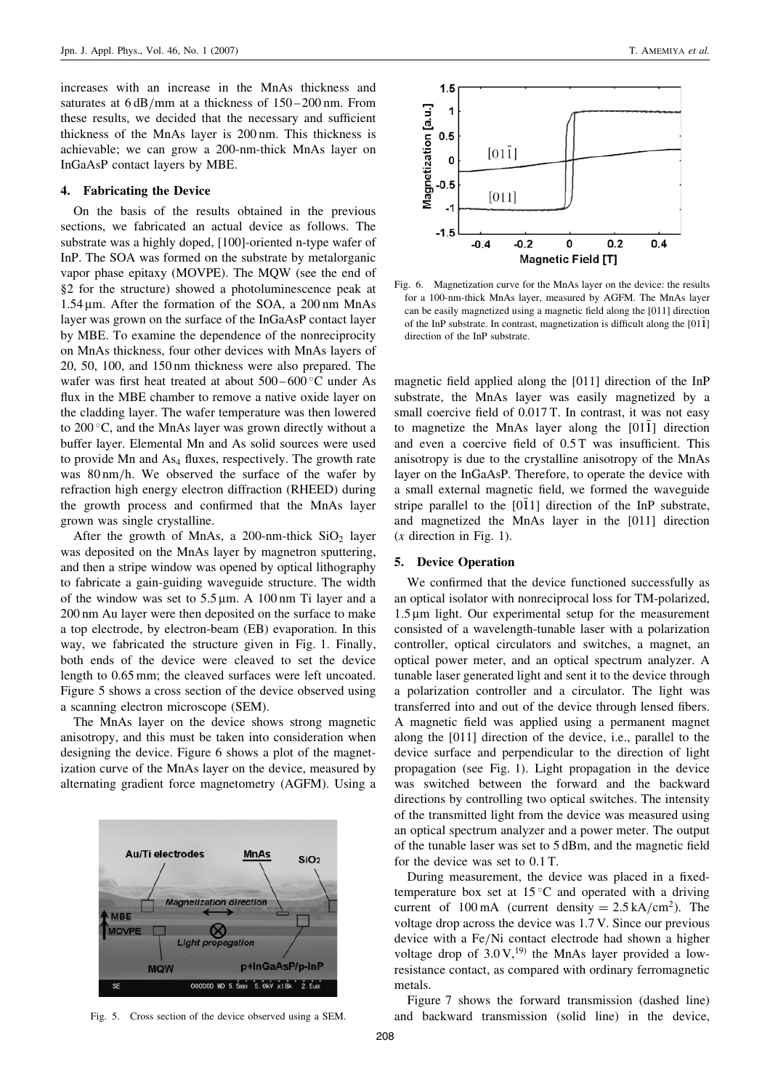increases with an increase in the MnAs thickness and saturates at  $6 dB/mm$  at a thickness of  $150 - 200$  nm. From these results, we decided that the necessary and sufficient thickness of the MnAs layer is 200 nm. This thickness is achievable; we can grow a 200-nm-thick MnAs layer on InGaAsP contact layers by MBE.

#### 4. Fabricating the Device

On the basis of the results obtained in the previous sections, we fabricated an actual device as follows. The substrate was a highly doped, [100]-oriented n-type wafer of InP. The SOA was formed on the substrate by metalorganic vapor phase epitaxy (MOVPE). The MQW (see the end of §2 for the structure) showed a photoluminescence peak at  $1.54 \,\mu$ m. After the formation of the SOA, a  $200 \,\text{nm}$  MnAs layer was grown on the surface of the InGaAsP contact layer by MBE. To examine the dependence of the nonreciprocity on MnAs thickness, four other devices with MnAs layers of 20, 50, 100, and 150 nm thickness were also prepared. The wafer was first heat treated at about  $500-600^{\circ}$ C under As flux in the MBE chamber to remove a native oxide layer on the cladding layer. The wafer temperature was then lowered to 200 C, and the MnAs layer was grown directly without a buffer layer. Elemental Mn and As solid sources were used to provide Mn and As<sub>4</sub> fluxes, respectively. The growth rate was 80 nm/h. We observed the surface of the wafer by refraction high energy electron diffraction (RHEED) during the growth process and confirmed that the MnAs layer grown was single crystalline.

After the growth of MnAs, a 200-nm-thick  $SiO<sub>2</sub>$  layer was deposited on the MnAs layer by magnetron sputtering, and then a stripe window was opened by optical lithography to fabricate a gain-guiding waveguide structure. The width of the window was set to  $5.5 \mu m$ . A 100 nm Ti layer and a 200 nm Au layer were then deposited on the surface to make a top electrode, by electron-beam (EB) evaporation. In this way, we fabricated the structure given in Fig. 1. Finally, both ends of the device were cleaved to set the device length to 0.65 mm; the cleaved surfaces were left uncoated. Figure 5 shows a cross section of the device observed using a scanning electron microscope (SEM).

The MnAs layer on the device shows strong magnetic anisotropy, and this must be taken into consideration when designing the device. Figure 6 shows a plot of the magnetization curve of the MnAs layer on the device, measured by alternating gradient force magnetometry (AGFM). Using a





Fig. 6. Magnetization curve for the MnAs layer on the device: the results for a 100-nm-thick MnAs layer, measured by AGFM. The MnAs layer can be easily magnetized using a magnetic field along the [011] direction of the InP substrate. In contrast, magnetization is difficult along the  $[01\bar{1}]$ direction of the InP substrate.

magnetic field applied along the [011] direction of the InP substrate, the MnAs layer was easily magnetized by a small coercive field of 0.017 T. In contrast, it was not easy to magnetize the MnAs layer along the  $[011]$  direction and even a coercive field of 0.5 T was insufficient. This anisotropy is due to the crystalline anisotropy of the MnAs layer on the InGaAsP. Therefore, to operate the device with a small external magnetic field, we formed the waveguide stripe parallel to the  $[011]$  direction of the InP substrate, and magnetized the MnAs layer in the [011] direction  $(x$  direction in Fig. 1).

#### 5. Device Operation

We confirmed that the device functioned successfully as an optical isolator with nonreciprocal loss for TM-polarized,  $1.5 \mu m$  light. Our experimental setup for the measurement consisted of a wavelength-tunable laser with a polarization controller, optical circulators and switches, a magnet, an optical power meter, and an optical spectrum analyzer. A tunable laser generated light and sent it to the device through a polarization controller and a circulator. The light was transferred into and out of the device through lensed fibers. A magnetic field was applied using a permanent magnet along the [011] direction of the device, i.e., parallel to the device surface and perpendicular to the direction of light propagation (see Fig. 1). Light propagation in the device was switched between the forward and the backward directions by controlling two optical switches. The intensity of the transmitted light from the device was measured using an optical spectrum analyzer and a power meter. The output of the tunable laser was set to 5 dBm, and the magnetic field for the device was set to 0.1 T.

During measurement, the device was placed in a fixedtemperature box set at  $15^{\circ}$ C and operated with a driving current of 100 mA (current density  $= 2.5 \text{ kA/cm}^2$ ). The voltage drop across the device was 1.7 V. Since our previous device with a Fe/Ni contact electrode had shown a higher voltage drop of  $3.0 \text{ V}$ ,<sup>19)</sup> the MnAs layer provided a lowresistance contact, as compared with ordinary ferromagnetic metals.

Figure 7 shows the forward transmission (dashed line) Fig. 5. Cross section of the device observed using a SEM. and backward transmission (solid line) in the device,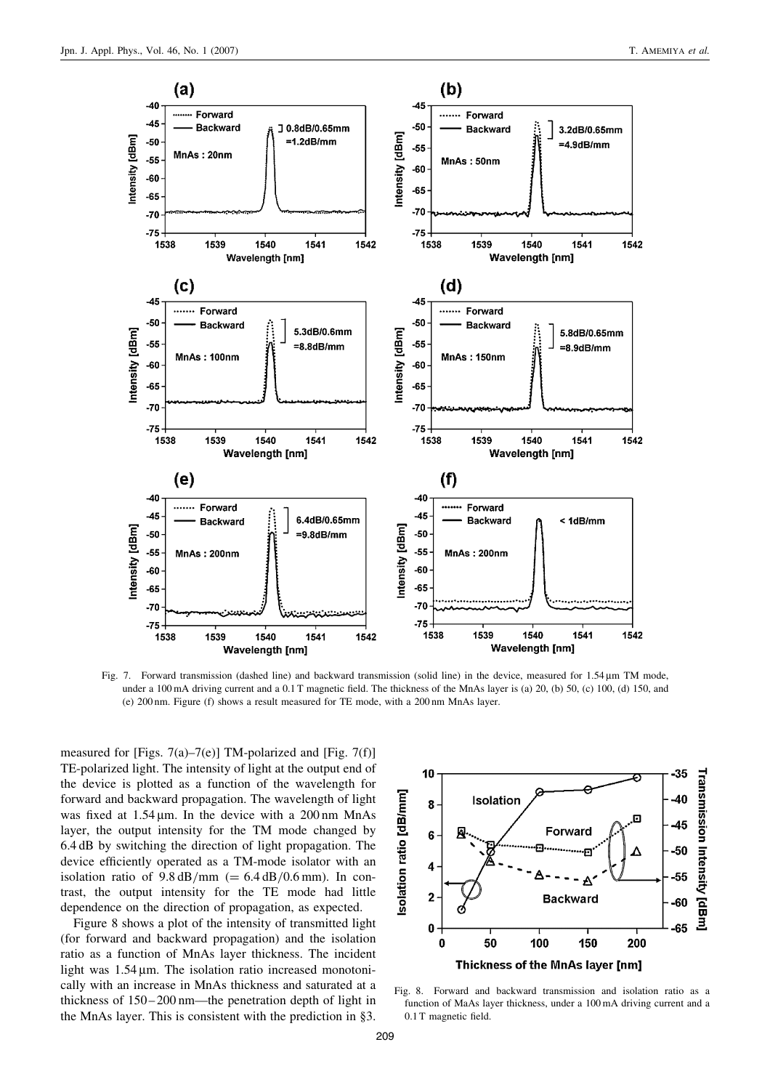

Fig. 7. Forward transmission (dashed line) and backward transmission (solid line) in the device, measured for  $1.54 \mu m$  TM mode, under a 100 mA driving current and a 0.1 T magnetic field. The thickness of the MnAs layer is (a) 20, (b) 50, (c) 100, (d) 150, and (e) 200 nm. Figure (f) shows a result measured for TE mode, with a 200 nm MnAs layer.

measured for [Figs. 7(a)–7(e)] TM-polarized and [Fig. 7(f)] TE-polarized light. The intensity of light at the output end of the device is plotted as a function of the wavelength for forward and backward propagation. The wavelength of light was fixed at  $1.54 \,\text{\ensuremath{\mu}}$  m. In the device with a 200 nm MnAs layer, the output intensity for the TM mode changed by 6.4 dB by switching the direction of light propagation. The device efficiently operated as a TM-mode isolator with an isolation ratio of  $9.8 \text{ dB/mm} (= 6.4 \text{ dB}/0.6 \text{ mm})$ . In contrast, the output intensity for the TE mode had little dependence on the direction of propagation, as expected.

Figure 8 shows a plot of the intensity of transmitted light (for forward and backward propagation) and the isolation ratio as a function of MnAs layer thickness. The incident light was  $1.54 \mu m$ . The isolation ratio increased monotonically with an increase in MnAs thickness and saturated at a thickness of  $150 - 200$  nm—the penetration depth of light in the MnAs layer. This is consistent with the prediction in §3.



Fig. 8. Forward and backward transmission and isolation ratio as a function of MaAs layer thickness, under a 100 mA driving current and a 0.1 T magnetic field.